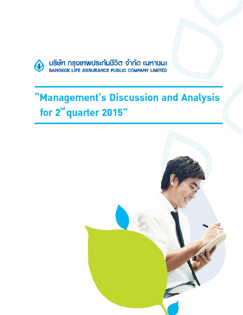

# "Management's Discussion and Analysis for 2<sup>nd</sup> quarter 2015"

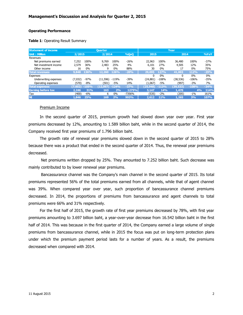#### **Operating Performance**

#### **Table 1**: Operating Result Summary

| <b>Statement of income</b> |         |         | <b>Ouarter</b> |         |          | Year      |         |           |         |        |
|----------------------------|---------|---------|----------------|---------|----------|-----------|---------|-----------|---------|--------|
| <b>Unit: Million</b>       | 2/2015  |         | 2/2014         |         | %QoQ     | 2015      |         | 2014      |         | %YoY   |
| Revenues                   |         |         |                |         |          |           |         |           |         |        |
| Net premiums earned        | 7.252   | 100%    | 9.769          | 100%    | $-26%$   | 22,963    | 100%    | 36,480    | 100%    | $-37%$ |
| Net investment income      | 2,579   | 36%     | 2,483          | 25%     | 4%       | 6,101     | 27%     | 4,505     | 12%     | 35%    |
| Other income               | 16      | $0\%$   | q              | $0\%$   | 88%      | 30        | $0\%$   | 17        | 0%      | 75%    |
| <b>Total revenues</b>      | 9,848   | 136%    | 12,260         | 126%    | $-20%$   | 29,095    | 127%    | 41,003    | 112%    | $-29%$ |
| Expenses                   |         |         |                |         |          | 0         | $0\%$   | 0         | 0%      | $0\%$  |
| Underwriting expenses      | (7,032) | $-97%$  | (11, 596)      | -119%   | $-39%$   | (24.881)  | $-108%$ | (38, 536) | $-106%$ | $-35%$ |
| Operating expenses         | (570)   | -8%     | (501)          | -5%     | 14%      | (1,067)   | -5%     | (997)     | $-3%$   | 7%     |
| <b>Total expenses</b>      | (7,602) | $-105%$ | (12,097)       | $-124%$ | $-37%$   | (25, 948) | $-113%$ | (39, 533) | $-108%$ | $-34%$ |
| <b>Earning before tax</b>  | 2,246   | 31%     | 163            | 2%      | 1275%    | 3.147     | 14%     | 1.470     | 4%      | 114%   |
| Tax                        | (400)   | $-6%$   | 6              | $0\%$   | $-7356%$ | (535)     | $-2%$   | (205)     | $-1\%$  | 161%   |
| <b>NI</b>                  | 1.846   | 25%     | 169            | 2%      | 993%     | 2.612     | 11%     | 1.265     | 3%      | 107%   |

#### Premium Income

In the second quarter of 2015, premium growth had slowed down year over year. First year premiums decreased by 12%, amounting to 1.589 billion baht, while in the second quarter of 2014, the Company received first year premiums of 1.796 billion baht.

The growth rate of renewal year premiums slowed down in the second quarter of 2015 to 28% because there was a product that ended in the second quarter of 2014. Thus, the renewal year premiums decreased.

Net premiums written dropped by 25%. They amounted to 7.252 billion baht. Such decrease was mainly contributed to by lower renewal year premiums.

Bancassurance channel was the Company's main channel in the second quarter of 2015. Its total premiums represented 56% of the total premiums earned from all channels, while that of agent channel was 39%. When compared year over year, such proportion of bancassurance channel premiums decreased. In 2014, the proportions of premiums from bancassurance and agent channels to total premiums were 66% and 31% respectively.

For the first half of 2015, the growth rate of first year premiums decreased by 78%, with first year premiums amounting to 3.697 billion baht, a year-over-year decrease from 16.542 billion baht in the first half of 2014. This was because in the first quarter of 2014, the Company earned a large volume of single premiums from bancassurance channel, while in 2015 the focus was put on long-term protection plans under which the premium payment period lasts for a number of years. As a result, the premiums decreased when compared with 2014.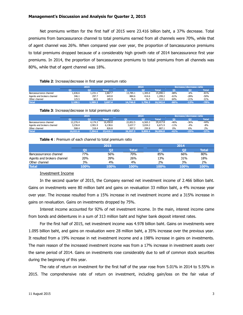Net premiums written for the first half of 2015 were 23.416 billion baht, a 37% decrease. Total premiums from bancassurance channel to total premiums earned from all channels were 70%, while that of agent channel was 26%. When compared year over year, the proportion of bancassurance premiums to total premiums dropped because of a considerably high growth rate of 2014 bancassurance first year premiums. In 2014, the proportion of bancassurance premiums to total premiums from all channels was 80%, while that of agent channel was 18%.

#### **Table 2**: Increase/decrease in first year premium ratio

|                            | 2015    |         |         |          | 2014   |          |        | Increase/decrease ratio |        |  |
|----------------------------|---------|---------|---------|----------|--------|----------|--------|-------------------------|--------|--|
|                            |         | o       | Total   |          | O2     | Total    | n.     |                         | Total  |  |
| Bancassurrance channel     | .,636.6 | 1.231.1 | 2.867.7 | 13,785.1 | .305.0 | 15.090.1 | $-88%$ | -6%                     | $-81%$ |  |
| Agents and brokers channel | 346.1   | 297.7   | 643.8   | 884.6    | 414.6  | 1,299.2  | $-61%$ | -28%                    | $-50%$ |  |
| Other channel              | 125.5   | 60.5    | 185.9   | 76.4     | 76.7   | 153.1    | 64%    | $-21%$                  | 21%    |  |
| <b>Total</b>               | 1.108.1 | L,589.3 | .697.4  | 14,746.0 | .796.3 | 16,542.4 | $-86%$ | $-12%$                  | $-78%$ |  |

#### **Table 3**: Increase/decrease in total premium ratio

|                            | 2015     |         |          |          | 2014    |          |        | <b>Increase/decrease ratio</b> |              |  |
|----------------------------|----------|---------|----------|----------|---------|----------|--------|--------------------------------|--------------|--|
|                            |          | O7      | Total    |          | 02      | Total    |        |                                | <b>Total</b> |  |
| Bancassurrance channel     | 12,276.4 | 4.174.3 | 16,450.8 | 22,852.5 | 6,565.3 | 29,417.8 | $-46%$ | -36%                           | -44%         |  |
| Agents and brokers channel | 3,236.8  | 2.901.9 | 6.138.6  | 3.637.7  | 3.034.2 | 6.671.9  | $-11%$ | $-4%$                          | $-8%$        |  |
| Other channel              | 508.4    | 318.4   | 826.8    | 507.2    | 299.9   | 807.1    | 0%     | 6%                             | 2%           |  |
| <b>Total</b>               | 16.021.6 | 7,394.6 | 23,416.2 | 26,997.3 | 9.899.4 | 36,896.8 | $-41%$ | $-25%$                         | $-37%$       |  |

#### **Table 4** : Premium of each channel to total premium ratio

|                            |      | 2015 |              | 2014 |      |       |  |
|----------------------------|------|------|--------------|------|------|-------|--|
|                            |      | O2   | <b>Total</b> |      |      | Total |  |
| Bancassurrance channel     | 77%  | 56%  | 70%          | 85%  | 66%  | 80%   |  |
| Agents and brokers channel | 20%  | 39%  | 26%          | 13%  | 31%  | 18%   |  |
| Other channel              | 3%   | 4%   | 4%           | 2%   | 3%   | 2%    |  |
| <b>Total</b>               | 100% | 100% | 100%         | 100% | 100% | 100%  |  |

## Investment Income

In the second quarter of 2015, the Company earned net investment income of 2.466 billion baht. Gains on investments were 80 million baht and gains on revaluation 33 million baht, a 4% increase year over year. The increase resulted from a 15% increase in net investment income and a 315% increase in gains on revaluation. Gains on investments dropped by 75%.

Interest income accounted for 92% of net investment income. In the main, interest income came from bonds and debentures in a sum of 313 million baht and higher bank deposit interest rates.

For the first half of 2015, net investment income was 4.978 billion baht. Gains on investments were 1.095 billion baht, and gains on revaluation were 28 million baht, a 35% increase over the previous year. It resulted from a 19% increase in net investment income and a 198% increase in gains on investments. The main reason of the increased investment income was from a 17% increase in investment assets over the same period of 2014. Gains on investments rose considerably due to sell of common stock securities during the beginning of this year.

The rate of return on investment for the first half of the year rose from 5.01% in 2014 to 5.55% in 2015. The comprehensive rate of return on investment, including gain/loss on the fair value of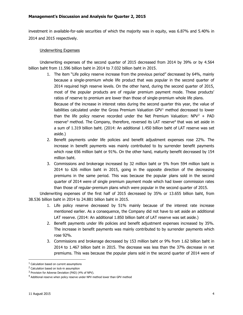investment in available-for-sale securities of which the majority was in equity, was 6.87% and 5.40% in 2014 and 2015 respectively.

# Underwriting Expenses

Underwriting expenses of the second quarter of 2015 decreased from 2014 by 39% or by 4.564 billion baht from 11.596 billion baht in 2014 to 7.032 billion baht in 2015.

- 1. The item "Life policy reserve increase from the previous period" decreased by 64%, mainly because a single-premium whole life product that was popular in the second quarter of 2014 required high reserve levels. On the other hand, during the second quarter of 2015, most of the popular products are of regular premium payment mode. These products' ratios of reserve to premium are lower than those of single-premium whole life plans. Because of the increase in interest rates during the second quarter this year, the value of liabilities calculated under the Gross Premium Valuation GPV $<sup>1</sup>$  method decreased to lower</sup> than the life policy reserve recorded under the Net Premium Valuation:  $NPV^2 + PAD$ reserve<sup>3</sup> method. The Company, therefore, reversed its LAT reserve<sup>4</sup> that was set aside in a sum of 1.319 billion baht. (2014: An additional 1.450 billion baht of LAT reserve was set aside.)
- 2. Benefit payments under life policies and benefit adjustment expenses rose 22%. The increase in benefit payments was mainly contributed to by surrender benefit payments which rose 656 million baht or 91%. On the other hand, maturity benefit decreased by 154 million baht.
- 3. Commissions and brokerage increased by 32 million baht or 5% from 594 million baht in 2014 to 626 million baht in 2015, going in the opposite direction of the decreasing premiums in the same period. This was because the popular plans sold in the second quarter of 2014 were of single premium payment mode which had lower commission rates than those of regular-premium plans which were popular in the second quarter of 2015.

Underwriting expenses of the first half of 2015 decreased by 35% or 13.655 billion baht, from 38.536 billion baht in 2014 to 24.881 billion baht in 2015.

- 1. Life policy reserve decreased by 51% mainly because of the interest rate increase mentioned earlier. As a consequence, the Company did not have to set aside an additional LAT reserve. (2014: An additional 1.850 billion baht of LAT reserve was set aside.)
- 2. Benefit payments under life policies and benefit adjustment expenses increased by 35%. The increase in benefit payments was mainly contributed to by surrender payments which rose 92%.
- 3. Commissions and brokerage decreased by 153 million baht or 9% from 1.62 billion baht in 2014 to 1.467 billion baht in 2015. The decrease was less than the 37% decrease in net premiums. This was because the popular plans sold in the second quarter of 2014 were of

 $\overline{\phantom{a}}$ 

<sup>1</sup> Calculation based on current assumptions

<sup>2</sup> Calculation based on lock-in assumption

<sup>&</sup>lt;sup>3</sup> Provision for Adverse Deviation (PAD) (4% of NPV).

<sup>4</sup> Additional reserve when policy reserve under NPV method lower than GPV method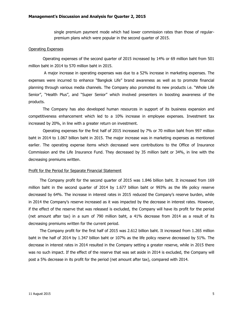single premium payment mode which had lower commission rates than those of regularpremium plans which were popular in the second quarter of 2015.

## Operating Expenses

Operating expenses of the second quarter of 2015 increased by 14% or 69 million baht from 501 million baht in 2014 to 570 million baht in 2015.

A major increase in operating expenses was due to a 52% increase in marketing expenses. The expenses were incurred to enhance "Bangkok Life" brand awareness as well as to promote financial planning through various media channels. The Company also promoted its new products i.e. "Whole Life Senior", "Health Plus", and "Super Senior" which involved presenters in boosting awareness of the products.

The Company has also developed human resources in support of its business expansion and competitiveness enhancement which led to a 10% increase in employee expenses. Investment tax increased by 20%, in line with a greater return on investment.

Operating expenses for the first half of 2015 increased by 7% or 70 million baht from 997 million baht in 2014 to 1.067 billion baht in 2015. The major increase was in marketing expenses as mentioned earlier. The operating expense items which decreased were contributions to the Office of Insurance Commission and the Life Insurance Fund. They decreased by 35 million baht or 34%, in line with the decreasing premiums written.

#### Profit for the Period for Separate Financial Statement

The Company profit for the second quarter of 2015 was 1.846 billion baht. It increased from 169 million baht in the second quarter of 2014 by 1.677 billion baht or 993% as the life policy reserve decreased by 64%. The increase in interest rates in 2015 reduced the Company's reserve burden, while in 2014 the Company's reserve increased as it was impacted by the decrease in interest rates. However, if the effect of the reserve that was released is excluded, the Company will have its profit for the period (net amount after tax) in a sum of 790 million baht, a 41% decrease from 2014 as a result of its decreasing premiums written for the current period.

The Company profit for the first half of 2015 was 2.612 billion baht. It increased from 1.265 million baht in the half of 2014 by 1.347 billion baht or 107% as the life policy reserve decreased by 51%. The decrease in interest rates in 2014 resulted in the Company setting a greater reserve, while in 2015 there was no such impact. If the effect of the reserve that was set aside in 2014 is excluded, the Company will post a 5% decrease in its profit for the period (net amount after tax), compared with 2014.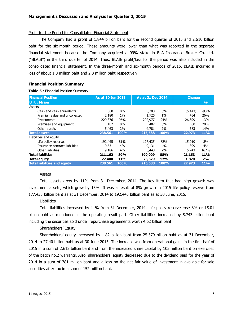## Profit for the Period for Consolidated Financial Statement

The Company had a profit of 1.844 billion baht for the second quarter of 2015 and 2.610 billion baht for the six-month period. These amounts were lower than what was reported in the separate financial statement because the Company acquired a 99% stake in BLA Insurance Broker Co. Ltd. ("BLAIB") in the third quarter of 2014. Thus, BLAIB profit/loss for the period was also included in the consolidated financial statement. In the three-month and six-month periods of 2015, BLAIB incurred a loss of about 1.0 million baht and 2.3 million baht respectively.

# **Financial Position Summary**

#### **Table 5** : Financial Position Summary

| <b>Financial Position</b>           |         | As at 30 Jun 2015 |         | As at 31 Dec 2014 |          | <b>Change</b> |
|-------------------------------------|---------|-------------------|---------|-------------------|----------|---------------|
| Unit: Million                       |         |                   |         |                   |          | $\%$          |
| Assets                              |         |                   |         |                   |          |               |
| Cash and cash equivalents           | 560     | $0\%$             | 5,703   | 3%                | (5, 143) | $-90%$        |
| Premiums due and uncollected        | 2,180   | $1\%$             | 1,725   | $1\%$             | 454      | 26%           |
| Investments                         | 229,876 | 96%               | 202,977 | 94%               | 26,899   | 13%           |
| Premises and equipment              | 482     | 0%                | 402     | $0\%$             | 80       | 20%           |
| Other assets                        | 5,463   | 2%                | 4,781   | 2%                | 683      | 14%           |
| <b>Total assets</b>                 | 238,561 | 100%              | 215,588 | 100%              | 22,973   | <b>11%</b>    |
| Liabilities and equity              |         |                   |         |                   |          |               |
| Life policy reserves                | 192,445 | 81%               | 177,435 | 82%               | 15,010   | 8%            |
| Insurance contract liabilities      | 9,531   | 4%                | 9,131   | 4%                | 399      | 4%            |
| Other liabilities                   | 9,186   | 4%                | 3.443   | 2%                | 5,743    | 167%          |
| <b>Total liabilities</b>            | 211,162 | 89%               | 190,009 | 88%               | 21,153   | 11%           |
| <b>Total equity</b>                 | 27,400  | 11%               | 25,579  | 12%               | 1,820    | 7%            |
| <b>Total liabilities and equity</b> | 238,561 | 100%              | 215,588 | 100%              | 22,973   | <b>11%</b>    |

# **Assets**

Total assets grew by 11% from 31 December, 2014. The key item that had high growth was investment assets, which grew by 13%. It was a result of 8% growth in 2015 life policy reserve from 177.435 billion baht as at 31 December, 2014 to 192.445 billion baht as at 30 June, 2015.

# **Liabilities**

Total liabilities increased by 11% from 31 December, 2014. Life policy reserve rose 8% or 15.01 billion baht as mentioned in the operating result part. Other liabilities increased by 5.743 billion baht including the securities sold under repurchase agreements worth 4.62 billion baht.

# Shareholders' Equity

Shareholders' equity increased by 1.82 billion baht from 25.579 billion baht as at 31 December, 2014 to 27.40 billion baht as at 30 June 2015. The increase was from operational gains in the first half of 2015 in a sum of 2.612 billion baht and from the increased share capital by 105 million baht on exercises of the batch no.2 warrants. Also, shareholders' equity decreased due to the dividend paid for the year of 2014 in a sum of 781 million baht and a loss on the net fair value of investment in available-for-sale securities after tax in a sum of 152 million baht.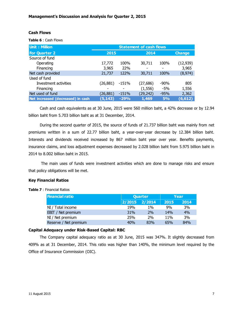# **Cash Flows**

**Table 6** : Cash Flows

| <b>Unit: Million</b>              | <b>Statement of cash flows</b> |         |           |        |           |  |  |
|-----------------------------------|--------------------------------|---------|-----------|--------|-----------|--|--|
| <b>For Quarter 2</b>              | 2015                           |         |           | 2014   |           |  |  |
| Source of fund                    |                                |         |           |        |           |  |  |
| Operating                         | 17,772                         | 100%    | 30,711    | 100%   | (12, 939) |  |  |
| Financing                         | 3,965                          | 22%     |           |        | 3,965     |  |  |
| Net cash provided                 | 21,737                         | 122%    | 30,711    | 100%   | (8, 974)  |  |  |
| Used of fund                      |                                |         |           |        |           |  |  |
| Investment activities             | (26, 881)                      | -151%   | (27, 686) | $-90%$ | 805       |  |  |
| Financing                         |                                | -       | (1, 556)  | -5%    | 1,556     |  |  |
| Net used of fund                  | (26,881)                       | $-151%$ | (29, 242) | $-95%$ | 2,362     |  |  |
| Net increased (decreased) in cash | (5, 143)                       | $-29%$  | 1,469     | 5%     | (6, 612)  |  |  |

Cash and cash equivalents as at 30 June, 2015 were 560 million baht, a 42% decrease or by 12.94 billion baht from 5.703 billion baht as at 31 December, 2014.

During the second quarter of 2015, the source of funds of 21.737 billion baht was mainly from net premiums written in a sum of 22.77 billion baht, a year-over-year decrease by 12.384 billion baht. Interests and dividends received increased by 867 million baht year over year. Benefits payments, insurance claims, and loss adjustment expenses decreased by 2.028 billion baht from 5.975 billion baht in 2014 to 8.002 billion baht in 2015.

The main uses of funds were investment activities which are done to manage risks and ensure that policy obligations will be met.

## **Key Financial Ratios**

## **Table 7** : Financial Ratios

| <b>Financial ratio</b> | <b>Quarter</b> |       |                 | Year |
|------------------------|----------------|-------|-----------------|------|
|                        | 2/2015 2/2014  |       | 2015            | 2014 |
| NI / Total income      | 19%            | $1\%$ | 9%              | 3%   |
| EBIT / Net premium     | 31%            | 2%    | 14%             | 4%   |
| NI / Net premium       | 25%            | 2%    | 11 <sub>%</sub> | 3%   |
| Reserve / Net premium  | 40%            | 83%   | 65%             | 84%  |

## **Capital Adequacy under Risk-Based Capital: RBC**

The Company capital adequacy ratio as at 30 June, 2015 was 347%. It slightly decreased from 409% as at 31 December, 2014. This ratio was higher than 140%, the minimum level required by the Office of Insurance Commission (OIC).